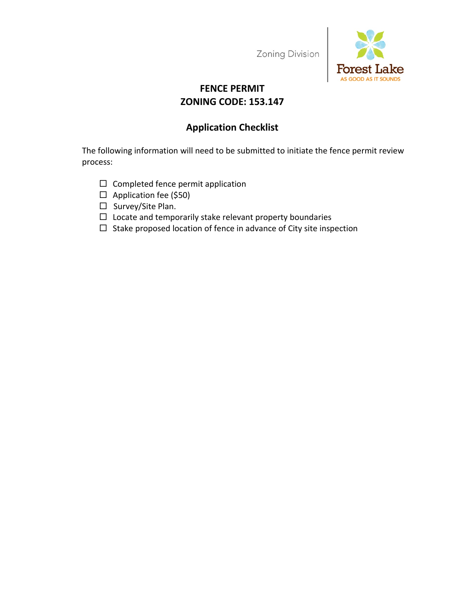Zoning Division



# **FENCE PERMIT ZONING CODE: 153.147**

## **Application Checklist**

The following information will need to be submitted to initiate the fence permit review process:

- $\Box$  Completed fence permit application
- $\Box$  Application fee (\$50)
- □ Survey/Site Plan.
- $\Box$  Locate and temporarily stake relevant property boundaries
- $\Box$  Stake proposed location of fence in advance of City site inspection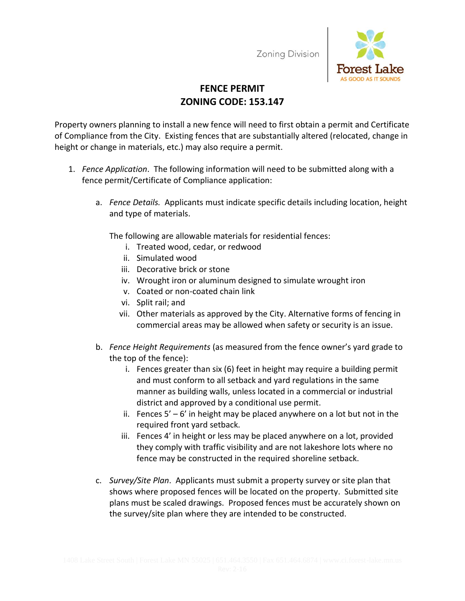Zoning Division



# **FENCE PERMIT ZONING CODE: 153.147**

Property owners planning to install a new fence will need to first obtain a permit and Certificate of Compliance from the City. Existing fences that are substantially altered (relocated, change in height or change in materials, etc.) may also require a permit.

- 1. *Fence Application*. The following information will need to be submitted along with a fence permit/Certificate of Compliance application:
	- a. *Fence Details.* Applicants must indicate specific details including location, height and type of materials.

The following are allowable materials for residential fences:

- i. Treated wood, cedar, or redwood
- ii. Simulated wood
- iii. Decorative brick or stone
- iv. Wrought iron or aluminum designed to simulate wrought iron
- v. Coated or non-coated chain link
- vi. Split rail; and
- vii. Other materials as approved by the City. Alternative forms of fencing in commercial areas may be allowed when safety or security is an issue.
- b. *Fence Height Requirements* (as measured from the fence owner's yard grade to the top of the fence):
	- i. Fences greater than six (6) feet in height may require a building permit and must conform to all setback and yard regulations in the same manner as building walls, unless located in a commercial or industrial district and approved by a conditional use permit.
	- ii. Fences  $5' 6'$  in height may be placed anywhere on a lot but not in the required front yard setback.
	- iii. Fences 4' in height or less may be placed anywhere on a lot, provided they comply with traffic visibility and are not lakeshore lots where no fence may be constructed in the required shoreline setback.
- c. *Survey/Site Plan*. Applicants must submit a property survey or site plan that shows where proposed fences will be located on the property. Submitted site plans must be scaled drawings. Proposed fences must be accurately shown on the survey/site plan where they are intended to be constructed.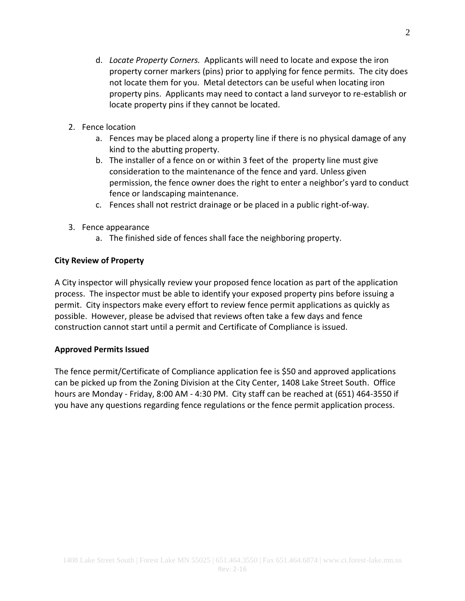- d. *Locate Property Corners.* Applicants will need to locate and expose the iron property corner markers (pins) prior to applying for fence permits. The city does not locate them for you. Metal detectors can be useful when locating iron property pins. Applicants may need to contact a land surveyor to re-establish or locate property pins if they cannot be located.
- 2. Fence location
	- a. Fences may be placed along a property line if there is no physical damage of any kind to the abutting property.
	- b. The installer of a fence on or within 3 feet of the property line must give consideration to the maintenance of the fence and yard. Unless given permission, the fence owner does the right to enter a neighbor's yard to conduct fence or landscaping maintenance.
	- c. Fences shall not restrict drainage or be placed in a public right-of-way.
- 3. Fence appearance
	- a. The finished side of fences shall face the neighboring property.

#### **City Review of Property**

A City inspector will physically review your proposed fence location as part of the application process. The inspector must be able to identify your exposed property pins before issuing a permit. City inspectors make every effort to review fence permit applications as quickly as possible. However, please be advised that reviews often take a few days and fence construction cannot start until a permit and Certificate of Compliance is issued.

#### **Approved Permits Issued**

The fence permit/Certificate of Compliance application fee is \$50 and approved applications can be picked up from the Zoning Division at the City Center, 1408 Lake Street South. Office hours are Monday - Friday, 8:00 AM - 4:30 PM. City staff can be reached at (651) 464-3550 if you have any questions regarding fence regulations or the fence permit application process.